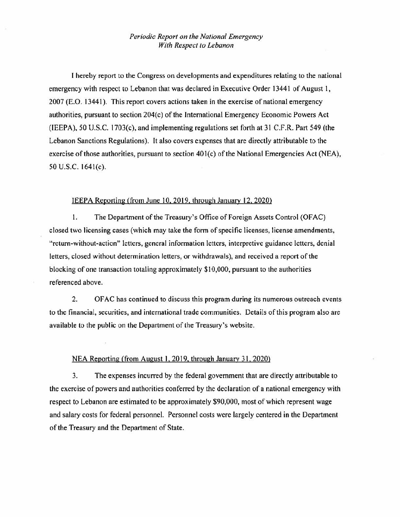## *Periodic Report on the National Emergency With Respect to Lebanon*

I hereby report to the Congress on developments and expenditures relating to the national emergency with respect to Lebanon that was declared in Executive Order 13441 of August 1, 2007 (E.O. 13441 ). This report covers actions taken in the exercise of national emergency authorities, pursuant to section 204(c) of the International Emergency Economic Powers Act (lEEPA), 50 U.S.C. 1703(c), and implementing regulations set forth at 31 C.F.R. Part 549 (the Lebanon Sanctions Regulations). Jt also covers expenses that are directly attributable to the exercise of those authorities, pursuant to section  $401(c)$  of the National Emergencies Act (NEA), 50 U.S.C. 164l(c).

## IEEPA Reporting (from June 10, 2019, through January 12, 2020)

1. The Department of the Treasury's Office of Foreign Assets Control (OFAC) closed two licensing cases (which may take the form of specific licenses, license amendments, "return-without-action" letters, general information letters, interpretive guidance letters, denial letters, closed without determination letters, or withdrawals), and received a report of the blocking of one transaction totaling approximately \$10,000, pursuant to the authorities referenced above.

2. OF AC has continued to discuss this program during its numerous outreach events to the financial, securities, and international trade communities. Details of this program also are available to the public on the Department of the Treasury's website.

## NEA Reporting (from August I, 2019, through January 31, 2020)

3. The expenses incurred by the federal government that are directly attributable to the exercise of powers and authorities conferred by the declaration of a national emergency with respect to Lebanon are estimated to be approximately \$90,000, most of which represent wage and salary costs for federal personnel. Personnel costs were largely centered in the Department of the Treasury and the Department of State.